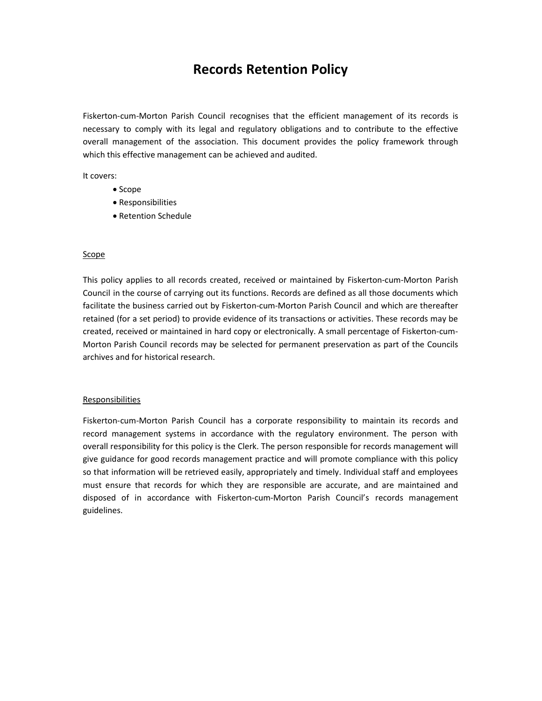## Records Retention Policy

Fiskerton-cum-Morton Parish Council recognises that the efficient management of its records is necessary to comply with its legal and regulatory obligations and to contribute to the effective overall management of the association. This document provides the policy framework through which this effective management can be achieved and audited.

It covers:

- Scope
- Responsibilities
- Retention Schedule

## Scope

This policy applies to all records created, received or maintained by Fiskerton-cum-Morton Parish Council in the course of carrying out its functions. Records are defined as all those documents which facilitate the business carried out by Fiskerton-cum-Morton Parish Council and which are thereafter retained (for a set period) to provide evidence of its transactions or activities. These records may be created, received or maintained in hard copy or electronically. A small percentage of Fiskerton-cum-Morton Parish Council records may be selected for permanent preservation as part of the Councils archives and for historical research.

## **Responsibilities**

Fiskerton-cum-Morton Parish Council has a corporate responsibility to maintain its records and record management systems in accordance with the regulatory environment. The person with overall responsibility for this policy is the Clerk. The person responsible for records management will give guidance for good records management practice and will promote compliance with this policy so that information will be retrieved easily, appropriately and timely. Individual staff and employees must ensure that records for which they are responsible are accurate, and are maintained and disposed of in accordance with Fiskerton-cum-Morton Parish Council's records management guidelines.